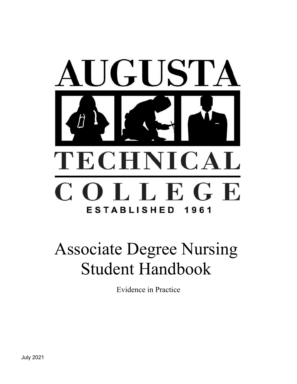

# <span id="page-0-0"></span>Associate Degree Nursing Student Handbook

Evidence in Practice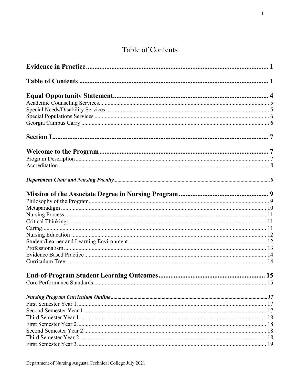# Table of Contents

<span id="page-1-0"></span>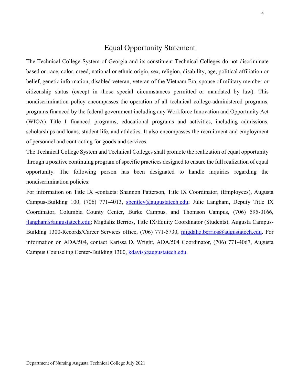### Equal Opportunity Statement

<span id="page-4-0"></span>The Technical College System of Georgia and its constituent Technical Colleges do not discriminate based on race, color, creed, national or ethnic origin, sex, religion, disability, age, political affiliation or belief, genetic information, disabled veteran, veteran of the Vietnam Era, spouse of military member or citizenship status (except in those special circumstances permitted or mandated by law). This nondiscrimination policy encompasses the operation of all technical college-administered programs, programs financed by the federal government including any Workforce Innovation and Opportunity Act (WIOA) Title I financed programs, educational programs and activities, including admissions, scholarships and loans, student life, and athletics. It also encompasses the recruitment and employment of personnel and contracting for goods and services.

The Technical College System and Technical Colleges shall promote the realization of equal opportunity through a positive continuing program of specific practices designed to ensure the full realization of equal opportunity. The following person has been designated to handle inquiries regarding the nondiscrimination policies:

For information on Title IX -contacts: Shannon Patterson, Title IX Coordinator, (Employees), Augusta Campus-Building 100, (706) 771-4013, [sbentley@augustatech.edu;](mailto:sbentley@augustatech.edu) Julie Langham, Deputy Title IX Coordinator, Columbia County Center, Burke Campus, and Thomson Campus, (706) 595-0166, [jlangham@augustatech.edu;](mailto:jlangham@augustatech.edu) Migdaliz Berrios, Title IX/Equity Coordinator (Students), Augusta Campus-Building 1300-Records/Career Services office, (706) 771-5730, [migdaliz.berrios@augustatech.edu.](mailto:migdaliz.berrios@augustatech.edu) For information on ADA/504, contact Karissa D. Wright, ADA/504 Coordinator, (706) 771-4067, Augusta Campus Counseling Center-Building 1300, [kdavis@augustatech.edu.](mailto:kdavis@augustatech.edu)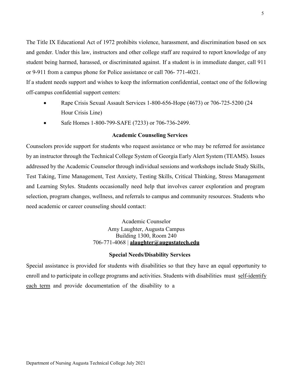The Title IX Educational Act of 1972 prohibits violence, harassment, and discrimination based on sex and gender. Under this law, instructors and other college staff are required to report knowledge of any student being harmed, harassed, or discriminated against. If a student is in immediate danger, call 911 or 9-911 from a campus phone for Police assistance or call 706- 771-4021.

If a student needs support and wishes to keep the information confidential, contact one of the following off-campus confidential support centers:

- Rape Crisis Sexual Assault Services 1-800-656-Hope (4673) or 706-725-5200 (24 Hour Crisis Line)
- Safe Homes 1-800-799-SAFE (7233) or 706-736-2499.

### **Academic Counseling Services**

<span id="page-5-0"></span>Counselors provide support for students who request assistance or who may be referred for assistance by an instructor through the Technical College System of Georgia Early Alert System (TEAMS). Issues addressed by the Academic Counselor through individual sessions and workshops include Study Skills, Test Taking, Time Management, Test Anxiety, Testing Skills, Critical Thinking, Stress Management and Learning Styles. Students occasionally need help that involves career exploration and program selection, program changes, wellness, and referrals to campus and community resources. Students who need academic or career counseling should contact:

> Academic Counselor Amy Laughter, Augusta Campus Building 1300, Room 240 706-771-4068 | **[alaughter@augustatech.edu](mailto:alaughter@augustatech.edu)**

### **Special Needs/Disability Services**

<span id="page-5-1"></span>Special assistance is provided for students with disabilities so that they have an equal opportunity to enroll and to participate in college programs and activities. Students with disabilities must self-identify each term and provide documentation of the disability to a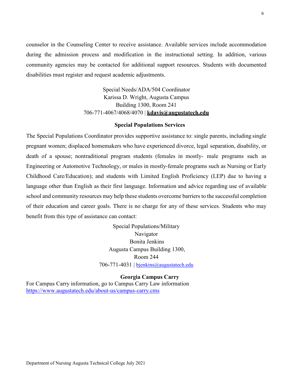counselor in the Counseling Center to receive assistance. Available services include accommodation during the admission process and modification in the instructional setting. In addition, various community agencies may be contacted for additional support resources. Students with documented disabilities must register and request academic adjustments.

> Special Needs/ADA/504 Coordinator Karissa D. Wright, Augusta Campus Building 1300, Room 241 706-771-4067/4068/4070 | **[kdavis@augustatech.edu](mailto:kdavis@augustatech.edu)**

### **Special Populations Services**

<span id="page-6-0"></span>The Special Populations Coordinator provides supportive assistance to: single parents, including single pregnant women; displaced homemakers who have experienced divorce, legal separation, disability, or death of a spouse; nontraditional program students (females in mostly- male programs such as Engineering or Automotive Technology, or males in mostly-female programs such as Nursing or Early Childhood Care/Education); and students with Limited English Proficiency (LEP) due to having a language other than English as their first language. Information and advice regarding use of available school and community resources may help these students overcome barriers to the successful completion of their education and career goals. There is no charge for any of these services. Students who may benefit from this type of assistance can contact:

> Special Populations/Military Navigator Bonita Jenkins Augusta Campus Building 1300, Room 244 706-771-4031 | [bjenkins@augustatech.edu](mailto:bjenkins@augustatech.edu)

> > **Georgia Campus Carry**

<span id="page-6-1"></span>For Campus Carry information, go to Campus Carry Law information <https://www.augustatech.edu/about-us/campus-carry.cms>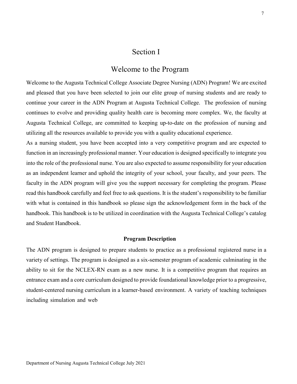### Section I

### Welcome to the Program

<span id="page-7-1"></span><span id="page-7-0"></span>Welcome to the Augusta Technical College Associate Degree Nursing (ADN) Program! We are excited and pleased that you have been selected to join our elite group of nursing students and are ready to continue your career in the ADN Program at Augusta Technical College. The profession of nursing continues to evolve and providing quality health care is becoming more complex. We, the faculty at Augusta Technical College, are committed to keeping up-to-date on the profession of nursing and utilizing all the resources available to provide you with a quality educational experience.

As a nursing student, you have been accepted into a very competitive program and are expected to function in an increasingly professional manner. Your education is designed specifically to integrate you into the role of the professional nurse. You are also expected to assume responsibility for your education as an independent learner and uphold the integrity of your school, your faculty, and your peers. The faculty in the ADN program will give you the support necessary for completing the program. Please read this handbook carefully and feel free to ask questions. It is the student's responsibility to be familiar with what is contained in this handbook so please sign the acknowledgement form in the back of the handbook. This handbook is to be utilized in coordination with the Augusta Technical College's catalog and Student Handbook.

### **Program Description**

<span id="page-7-2"></span>The ADN program is designed to prepare students to practice as a professional registered nurse in a variety of settings. The program is designed as a six-semester program of academic culminating in the ability to sit for the NCLEX-RN exam as a new nurse. It is a competitive program that requires an entrance exam and a core curriculum designed to provide foundational knowledge prior to a progressive, student-centered nursing curriculum in a learner-based environment. A variety of teaching techniques including simulation and web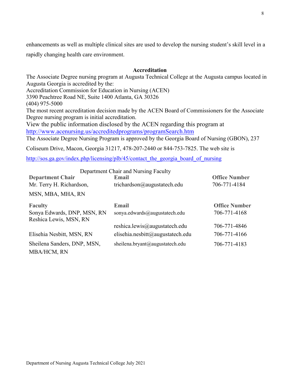enhancements as well as multiple clinical sites are used to develop the nursing student's skill level in a rapidly changing health care environment.

### **Accreditation**

<span id="page-8-0"></span>The Associate Degree nursing program at Augusta Technical College at the Augusta campus located in Augusta Georgia is accredited by the: Accreditation Commission for Education in Nursing (ACEN) 3390 Peachtree Road NE, Suite 1400 Atlanta, GA 30326 (404) 975-5000 The most recent accreditation decision made by the ACEN Board of Commissioners for the Associate Degree nursing program is initial accreditation. View the public information disclosed by the ACEN regarding this program at <http://www.acenursing.us/accreditedprograms/programSearch.htm> The Associate Degree Nursing Program is approved by the Georgia Board of Nursing (GBON), 237

Coliseum Drive, Macon, Georgia 31217, 478-207-2440 or 844-753-7825. The web site is

[http://sos.ga.gov/index.php/licensing/plb/45/contact\\_the\\_georgia\\_board\\_of\\_nursing](http://sos.ga.gov/index.php/licensing/plb/45/contact_the_georgia_board_of_nursing)

<span id="page-8-1"></span>

|                                                       | Department Chair and Nursing Faculty |                      |
|-------------------------------------------------------|--------------------------------------|----------------------|
| <b>Department Chair</b>                               | Email                                | <b>Office Number</b> |
| Mr. Terry H. Richardson,                              | trichardson@augustatech.edu          | 706-771-4184         |
| MSN, MBA, MHA, RN                                     |                                      |                      |
| <b>Faculty</b>                                        | Email                                | <b>Office Number</b> |
| Sonya Edwards, DNP, MSN, RN<br>Reshica Lewis, MSN, RN | sonya.edwards@augustatech.edu        | 706-771-4168         |
|                                                       | reshica.lewis@augustatech.edu        | 706-771-4846         |
| Elisehia Nesbitt, MSN, RN                             | elisehia.nesbitt@augustatech.edu     | 706-771-4166         |
| Sheilena Sanders, DNP, MSN,                           | sheilena.bryant@augustatech.edu      | 706-771-4183         |
| <b>MBA/HCM, RN</b>                                    |                                      |                      |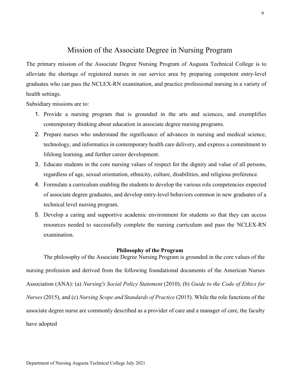### Mission of the Associate Degree in Nursing Program

<span id="page-9-0"></span>The primary mission of the Associate Degree Nursing Program of Augusta Technical College is to alleviate the shortage of registered nurses in our service area by preparing competent entry-level graduates who can pass the NCLEX-RN examination, and practice professional nursing in a variety of health settings.

Subsidiary missions are to:

- 1. Provide a nursing program that is grounded in the arts and sciences, and exemplifies contemporary thinking about education in associate degree nursing programs.
- 2. Prepare nurses who understand the significance of advances in nursing and medical science, technology, and informatics in contemporary health care delivery, and express a commitment to lifelong learning, and further career development.
- 3. Educate students in the core nursing values of respect for the dignity and value of all persons, regardless of age, sexual orientation, ethnicity, culture, disabilities, and religious preference.
- 4. Formulate a curriculum enabling the students to develop the various role competencies expected of associate degree graduates, and develop entry-level behaviors common in new graduates of a technical level nursing program.
- 5. Develop a caring and supportive academic environment for students so that they can access resources needed to successfully complete the nursing curriculum and pass the NCLEX-RN examination.

### **Philosophy of the Program**

<span id="page-9-1"></span>The philosophy of the Associate Degree Nursing Program is grounded in the core values of the nursing profession and derived from the following foundational documents of the American Nurses Association (ANA): (a) *Nursing's Social Policy Statement* (2010); (b) *Guide to the Code of Ethics for Nurses* (2015), and (c) *Nursing Scope and Standards of Practice* (2015). While the role functions of the associate degree nurse are commonly described as a provider of care and a manager of care, the faculty have adopted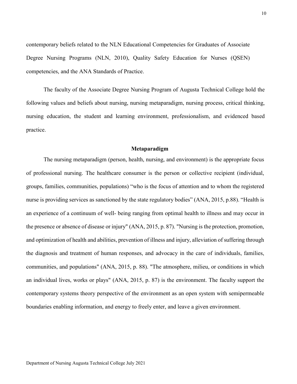contemporary beliefs related to the NLN Educational Competencies for Graduates of Associate Degree Nursing Programs (NLN, 2010), Quality Safety Education for Nurses (QSEN) competencies, and the ANA Standards of Practice.

The faculty of the Associate Degree Nursing Program of Augusta Technical College hold the following values and beliefs about nursing, nursing metaparadigm, nursing process, critical thinking, nursing education, the student and learning environment, professionalism, and evidenced based practice.

#### **Metaparadigm**

<span id="page-10-0"></span>The nursing metaparadigm (person, health, nursing, and environment) is the appropriate focus of professional nursing. The healthcare consumer is the person or collective recipient (individual, groups, families, communities, populations) "who is the focus of attention and to whom the registered nurse is providing services as sanctioned by the state regulatory bodies" (ANA, 2015, p.88). "Health is an experience of a continuum of well- being ranging from optimal health to illness and may occur in the presence or absence of disease or injury" (ANA, 2015, p. 87). "Nursing is the protection, promotion, and optimization of health and abilities, prevention of illness and injury, alleviation of suffering through the diagnosis and treatment of human responses, and advocacy in the care of individuals, families, communities, and populations" (ANA, 2015, p. 88). "The atmosphere, milieu, or conditions in which an individual lives, works or plays" (ANA, 2015, p. 87) is the environment. The faculty support the contemporary systems theory perspective of the environment as an open system with semipermeable boundaries enabling information, and energy to freely enter, and leave a given environment.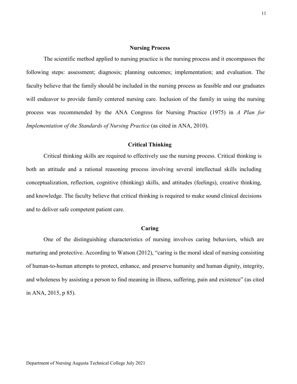### **Nursing Process**

<span id="page-11-0"></span>The scientific method applied to nursing practice is the nursing process and it encompasses the following steps: assessment; diagnosis; planning outcomes; implementation; and evaluation. The faculty believe that the family should be included in the nursing process as feasible and our graduates will endeavor to provide family centered nursing care. Inclusion of the family in using the nursing process was recommended by the ANA Congress for Nursing Practice (1975) in *A Plan for Implementation of the Standards of Nursing Practice* (as cited in ANA, 2010).

### **Critical Thinking**

<span id="page-11-1"></span>Critical thinking skills are required to effectively use the nursing process. Critical thinking is both an attitude and a rational reasoning process involving several intellectual skills including conceptualization, reflection, cognitive (thinking) skills, and attitudes (feelings), creative thinking, and knowledge. The faculty believe that critical thinking is required to make sound clinical decisions and to deliver safe competent patient care.

#### **Caring**

<span id="page-11-2"></span>One of the distinguishing characteristics of nursing involves caring behaviors, which are nurturing and protective. According to Watson (2012), "caring is the moral ideal of nursing consisting of human-to-human attempts to protect, enhance, and preserve humanity and human dignity, integrity, and wholeness by assisting a person to find meaning in illness, suffering, pain and existence" (as cited in ANA, 2015, p 85).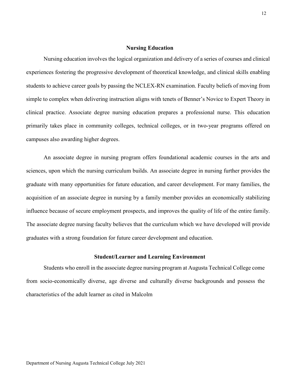### **Nursing Education**

<span id="page-12-0"></span>Nursing education involves the logical organization and delivery of a series of courses and clinical experiences fostering the progressive development of theoretical knowledge, and clinical skills enabling students to achieve career goals by passing the NCLEX-RN examination. Faculty beliefs of moving from simple to complex when delivering instruction aligns with tenets of Benner's Novice to Expert Theory in clinical practice. Associate degree nursing education prepares a professional nurse. This education primarily takes place in community colleges, technical colleges, or in two-year programs offered on campuses also awarding higher degrees.

An associate degree in nursing program offers foundational academic courses in the arts and sciences, upon which the nursing curriculum builds. An associate degree in nursing further provides the graduate with many opportunities for future education, and career development. For many families, the acquisition of an associate degree in nursing by a family member provides an economically stabilizing influence because of secure employment prospects, and improves the quality of life of the entire family. The associate degree nursing faculty believes that the curriculum which we have developed will provide graduates with a strong foundation for future career development and education.

#### **Student/Learner and Learning Environment**

<span id="page-12-1"></span>Students who enroll in the associate degree nursing program at Augusta Technical College come from socio-economically diverse, age diverse and culturally diverse backgrounds and possess the characteristics of the adult learner as cited in Malcolm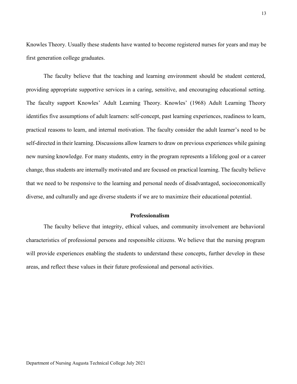Knowles Theory. Usually these students have wanted to become registered nurses for years and may be first generation college graduates.

The faculty believe that the teaching and learning environment should be student centered, providing appropriate supportive services in a caring, sensitive, and encouraging educational setting. The faculty support Knowles' Adult Learning Theory. Knowles' (1968) Adult Learning Theory identifies five assumptions of adult learners: self-concept, past learning experiences, readiness to learn, practical reasons to learn, and internal motivation. The faculty consider the adult learner's need to be self-directed in their learning. Discussions allow learners to draw on previous experiences while gaining new nursing knowledge. For many students, entry in the program represents a lifelong goal or a career change, thus students are internally motivated and are focused on practical learning. The faculty believe that we need to be responsive to the learning and personal needs of disadvantaged, socioeconomically diverse, and culturally and age diverse students if we are to maximize their educational potential.

#### **Professionalism**

<span id="page-13-0"></span>The faculty believe that integrity, ethical values, and community involvement are behavioral characteristics of professional persons and responsible citizens. We believe that the nursing program will provide experiences enabling the students to understand these concepts, further develop in these areas, and reflect these values in their future professional and personal activities.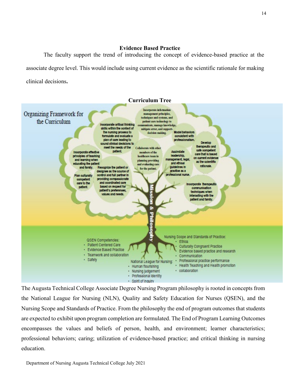### **Evidence Based Practice**

<span id="page-14-0"></span>The faculty support the trend of introducing the concept of evidence-based practice at the associate degree level. This would include using current evidence as the scientific rationale for making clinical decisions**.** 

<span id="page-14-1"></span>

The Augusta Technical College Associate Degree Nursing Program philosophy is rooted in concepts from the National League for Nursing (NLN), Quality and Safety Education for Nurses (QSEN), and the Nursing Scope and Standards of Practice. From the philosophy the end of program outcomes that students are expected to exhibit upon program completion are formulated. The End of Program Learning Outcomes encompasses the values and beliefs of person, health, and environment; learner characteristics; professional behaviors; caring; utilization of evidence-based practice; and critical thinking in nursing education.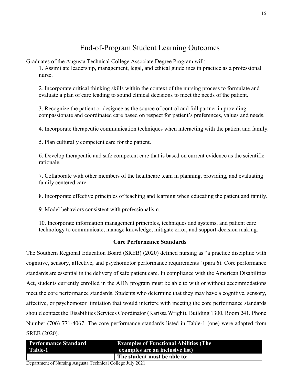# End-of-Program Student Learning Outcomes

<span id="page-15-0"></span>Graduates of the Augusta Technical College Associate Degree Program will:

1. Assimilate leadership, management, legal, and ethical guidelines in practice as a professional nurse.

2. Incorporate critical thinking skills within the context of the nursing process to formulate and evaluate a plan of care leading to sound clinical decisions to meet the needs of the patient.

3. Recognize the patient or designee as the source of control and full partner in providing compassionate and coordinated care based on respect for patient's preferences, values and needs.

4. Incorporate therapeutic communication techniques when interacting with the patient and family.

5. Plan culturally competent care for the patient.

6. Develop therapeutic and safe competent care that is based on current evidence as the scientific rationale.

7. Collaborate with other members of the healthcare team in planning, providing, and evaluating family centered care.

8. Incorporate effective principles of teaching and learning when educating the patient and family.

9. Model behaviors consistent with professionalism.

10. Incorporate information management principles, techniques and systems, and patient care technology to communicate, manage knowledge, mitigate error, and support-decision making.

### **Core Performance Standards**

<span id="page-15-1"></span>The Southern Regional Education Board (SREB) (2020) defined nursing as "a practice discipline with cognitive, sensory, affective, and psychomotor performance requirements" (para 6). Core performance standards are essential in the delivery of safe patient care. In compliance with the American Disabilities Act, students currently enrolled in the ADN program must be able to with or without accommodations meet the core performance standards. Students who determine that they may have a cognitive, sensory, affective, or psychomotor limitation that would interfere with meeting the core performance standards should contact the Disabilities Services Coordinator (Karissa Wright), Building 1300, Room 241, Phone Number (706) 771-4067. The core performance standards listed in Table-1 (one) were adapted from SREB (2020).

| <b>Performance Standard</b> | <b>Examples of Functional Abilities (The</b> |
|-----------------------------|----------------------------------------------|
| Table-1                     | examples are an inclusive list)              |
|                             | The student must be able to:                 |

Department of Nursing Augusta Technical College July 2021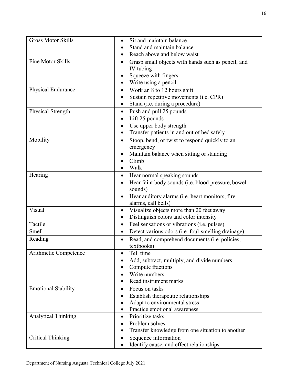| <b>Gross Motor Skills</b>  | Sit and maintain balance                                        |
|----------------------------|-----------------------------------------------------------------|
|                            | Stand and maintain balance                                      |
|                            | Reach above and below waist                                     |
| Fine Motor Skills          | Grasp small objects with hands such as pencil, and<br>$\bullet$ |
|                            | IV tubing                                                       |
|                            | Squeeze with fingers                                            |
|                            | Write using a pencil<br>$\bullet$                               |
| Physical Endurance         | Work an 8 to 12 hours shift<br>$\bullet$                        |
|                            | Sustain repetitive movements (i.e. CPR)                         |
|                            | Stand (i.e. during a procedure)                                 |
| Physical Strength          | Push and pull 25 pounds<br>$\bullet$                            |
|                            | Lift 25 pounds                                                  |
|                            | Use upper body strength<br>٠                                    |
|                            | Transfer patients in and out of bed safely                      |
| Mobility                   | Stoop, bend, or twist to respond quickly to an<br>$\bullet$     |
|                            | emergency                                                       |
|                            | Maintain balance when sitting or standing                       |
|                            | Climb                                                           |
|                            | Walk                                                            |
| Hearing                    | Hear normal speaking sounds<br>٠                                |
|                            | Hear faint body sounds (i.e. blood pressure, bowel<br>$\bullet$ |
|                            | sounds)                                                         |
|                            | Hear auditory alarms (i.e. heart monitors, fire                 |
|                            | alarms, call bells)                                             |
| Visual                     | Visualize objects more than 20 feet away<br>$\bullet$           |
|                            | Distinguish colors and color intensity                          |
| Tactile                    | Feel sensations or vibrations (i.e. pulses)<br>$\bullet$        |
| Smell                      | Detect various odors (i.e. foul-smelling drainage)<br>$\bullet$ |
| Reading                    | Read, and comprehend documents (i.e. policies,<br>$\bullet$     |
|                            | textbooks)                                                      |
| Arithmetic Competence      | Tell time                                                       |
|                            | Add, subtract, multiply, and divide numbers                     |
|                            | Compute fractions                                               |
|                            | Write numbers                                                   |
|                            | Read instrument marks                                           |
| <b>Emotional Stability</b> | Focus on tasks                                                  |
|                            | Establish therapeutic relationships                             |
|                            | Adapt to environmental stress                                   |
|                            | Practice emotional awareness                                    |
| Analytical Thinking        | Prioritize tasks<br>$\bullet$                                   |
|                            | Problem solves                                                  |
|                            | Transfer knowledge from one situation to another                |
| <b>Critical Thinking</b>   | Sequence information<br>$\bullet$                               |
|                            | Identify cause, and effect relationships                        |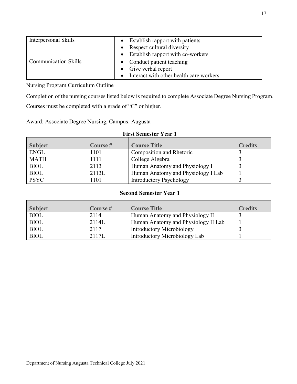| Interpersonal Skills        | Establish rapport with patients         |
|-----------------------------|-----------------------------------------|
|                             | Respect cultural diversity              |
|                             | Establish rapport with co-workers       |
| <b>Communication Skills</b> | • Conduct patient teaching              |
|                             | • Give verbal report                    |
|                             | Interact with other health care workers |

<span id="page-17-0"></span>Nursing Program Curriculum Outline

Completion of the nursing courses listed below is required to complete Associate Degree Nursing Program.

Courses must be completed with a grade of "C" or higher.

<span id="page-17-1"></span>Award: Associate Degree Nursing, Campus: Augusta

### **First Semester Year 1**

| <b>Subject</b> | Course $#$ | <b>Course Title</b>                | <b>Credits</b> |
|----------------|------------|------------------------------------|----------------|
| <b>ENGL</b>    | 1101       | Composition and Rhetoric           |                |
| <b>MATH</b>    | 1111       | College Algebra                    |                |
| <b>BIOL</b>    | 2113       | Human Anatomy and Physiology I     |                |
| <b>BIOL</b>    | 2113L      | Human Anatomy and Physiology I Lab |                |
| <b>PSYC</b>    | 1101       | <b>Introductory Psychology</b>     |                |

### **Second Semester Year 1**

<span id="page-17-2"></span>

| <b>Subject</b> | Course $#$ | <b>Course Title</b>                 | <b>Credits</b> |
|----------------|------------|-------------------------------------|----------------|
| <b>BIOL</b>    | 2114       | Human Anatomy and Physiology II     |                |
| <b>BIOL</b>    | 2114L      | Human Anatomy and Physiology II Lab |                |
| <b>BIOL</b>    | 2117       | Introductory Microbiology           |                |
| <b>BIOL</b>    | 2117L      | Introductory Microbiology Lab       |                |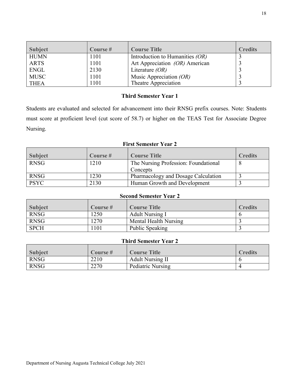| <b>Subject</b> | Course $#$ | <b>Course Title</b>               | <b>Credits</b> |
|----------------|------------|-----------------------------------|----------------|
| <b>HUMN</b>    | 1101       | Introduction to Humanities $(OR)$ |                |
| <b>ARTS</b>    | 1101       | Art Appreciation (OR) American    |                |
| <b>ENGL</b>    | 2130       | Literature $(OR)$                 |                |
| <b>MUSC</b>    | 1101       | Music Appreciation $(OR)$         |                |
| <b>THEA</b>    | 1101       | Theatre Appreciation              |                |

### **Third Semester Year 1**

<span id="page-18-0"></span>Students are evaluated and selected for advancement into their RNSG prefix courses. Note: Students must score at proficient level (cut score of 58.7) or higher on the TEAS Test for Associate Degree Nursing.

### **First Semester Year 2**

<span id="page-18-1"></span>

| <b>Subject</b> | Course $#$ | <b>Course Title</b>                  | <b>Credits</b> |
|----------------|------------|--------------------------------------|----------------|
| <b>RNSG</b>    | 1210       | The Nursing Profession: Foundational |                |
|                |            | Concepts                             |                |
| <b>RNSG</b>    | 1230       | Pharmacology and Dosage Calculation  |                |
| <b>PSYC</b>    | 2130       | Human Growth and Development         |                |

### **Second Semester Year 2**

<span id="page-18-2"></span>

| <b>Subject</b> | Course # | <b>Course Title</b>    | <b>Credits</b> |
|----------------|----------|------------------------|----------------|
| <b>RNSG</b>    | 1250     | <b>Adult Nursing I</b> |                |
| <b>RNSG</b>    | 1270     | Mental Health Nursing  |                |
| <b>SPCH</b>    | 101      | Public Speaking        |                |

### **Third Semester Year 2**

<span id="page-18-3"></span>

| <b>Subject</b> | Course # | <b>Course Title</b>     | <b>Credits</b> |
|----------------|----------|-------------------------|----------------|
| <b>RNSG</b>    | 2210     | <b>Adult Nursing II</b> |                |
| <b>RNSG</b>    | 2270     | Pediatric Nursing       |                |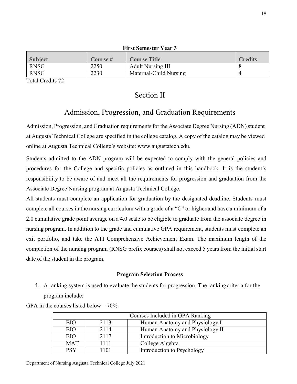<span id="page-19-0"></span>

| гим эспементсан э |         |                          |                |
|-------------------|---------|--------------------------|----------------|
| <b>Subject</b>    | Course# | <b>Course Title</b>      | <b>Credits</b> |
| <b>RNSG</b>       | 2250    | <b>Adult Nursing III</b> |                |
| <b>RNSG</b>       | 2230    | Maternal-Child Nursing   |                |
| __ _ _ _ _ _      |         |                          |                |

**First Semester Year 3**

<span id="page-19-1"></span>Total Credits 72

### Section II

### Admission, Progression, and Graduation Requirements

<span id="page-19-2"></span>Admission, Progression, and Graduation requirements for the Associate Degree Nursing (ADN) student at Augusta Technical College are specified in the college catalog. A copy of the catalog may be viewed online at Augusta Technical College's website: [www.augustatech.edu.](http://www.augustatech.edu/)

Students admitted to the ADN program will be expected to comply with the general policies and procedures for the College and specific policies as outlined in this handbook. It is the student's responsibility to be aware of and meet all the requirements for progression and graduation from the Associate Degree Nursing program at Augusta Technical College.

All students must complete an application for graduation by the designated deadline. Students must complete all courses in the nursing curriculum with a grade of a "C" or higher and have a minimum of a 2.0 cumulative grade point average on a 4.0 scale to be eligible to graduate from the associate degree in nursing program. In addition to the grade and cumulative GPA requirement, students must complete an exit portfolio, and take the ATI Comprehensive Achievement Exam. The maximum length of the completion of the nursing program (RNSG prefix courses) shall not exceed 5 years from the initial start date of the student in the program.

### **Program Selection Process**

<span id="page-19-3"></span>1. A ranking system is used to evaluate the students for progression. The ranking criteria for the program include:

GPA in the courses listed below  $-70\%$ 

| Courses Included in GPA Ranking |      |                                 |
|---------------------------------|------|---------------------------------|
| <b>BIO</b>                      | 2113 | Human Anatomy and Physiology I  |
| <b>BIO</b>                      | 2114 | Human Anatomy and Physiology II |
| <b>BIO</b>                      | 2117 | Introduction to Microbiology    |
| <b>MAT</b>                      | 1111 | College Algebra                 |
| <b>PSY</b>                      | 1101 | Introduction to Psychology      |

Department of Nursing Augusta Technical College July 2021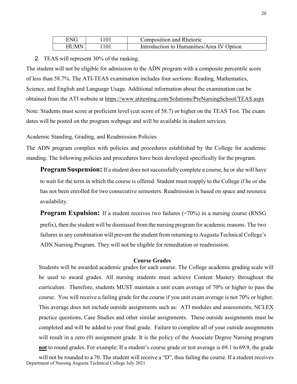| <b>ENG</b> | Composition and Rhetoric                  |
|------------|-------------------------------------------|
| HUMN       | Introduction to Humanities/Area IV Option |

### 2. TEAS will represent 30% of the ranking.

The student will not be eligible for admission to the ADN program with a composite percentile score of less than 58.7%. The ATI-TEAS examination includes four sections: Reading, Mathematics, Science, and English and Language Usage. Additional information about the examination can be obtained from the ATI website at<https://www.atitesting.com/Solutions/PreNursingSchool/TEAS.aspx> Note: Students must score at proficient level (cut score of 58.7) or higher on the TEAS Test. The exam dates will be posted on the program webpage and will be available in student services.

<span id="page-20-0"></span>Academic Standing, Grading, and Readmission Policies

The ADN program complies with policies and procedures established by the College for academic standing. The following policies and procedures have been developed specifically for the program.

**Program Suspension:** If a student does not successfully complete a course, he or she will have to wait for the term in which the course is offered. Student must reapply to the College if he or she has not been enrolled for two consecutive semesters. Readmission is based on space and resource availability.

**Program Expulsion:** If a student receives two failures (<70%) in a nursing course (RNSG prefix), then the student will be dismissed from the nursing program for academic reasons. The two failures in any combination will prevent the student from returning to Augusta Technical College's ADN Nursing Program. They will not be eligible for remediation or readmission.

#### <span id="page-20-1"></span> **Course Grades**

Students will be awarded academic grades for each course. The College academic grading scale will be used to award grades. All nursing students must achieve Content Mastery throughout the curriculum. Therefore, students MUST maintain a unit exam average of 70% or higher to pass the course. You will receive a failing grade for the course if you unit exam average is not 70% or higher. This average does not include outside assignments such as: ATI modules and assessments, NCLEX practice questions, Case Studies and other similar assignments. These outside assignments must be completed and will be added to your final grade. Failure to complete all of your outside assignments will result in a zero (0) assignment grade. It is the policy of the Associate Degree Nursing program **not** to round grades. For example; If a student's course grade or test average is 69.1 to 69.9, the grade

will not be rounded to a 70. The student will receive a "D", thus failing the course. If a student receives Department of Nursing Augusta Technical College July 2021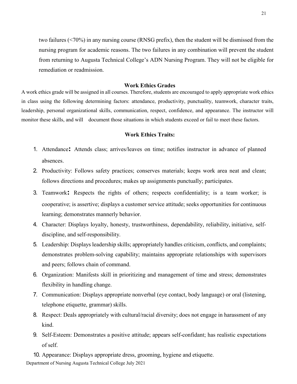two failures (<70%) in any nursing course (RNSG prefix), then the student will be dismissed from the nursing program for academic reasons. The two failures in any combination will prevent the student from returning to Augusta Technical College's ADN Nursing Program. They will not be eligible for remediation or readmission.

### **Work Ethics Grades**

<span id="page-21-0"></span>A work ethics grade will be assigned in all courses. Therefore, students are encouraged to apply appropriate work ethics in class using the following determining factors: attendance, productivity, punctuality, teamwork, character traits, leadership, personal organizational skills, communication, respect, confidence, and appearance. The instructor will monitor these skills, and will document those situations in which students exceed or fail to meet these factors.

### **Work Ethics Traits:**

- <span id="page-21-1"></span>1. Attendance**:** Attends class; arrives/leaves on time; notifies instructor in advance of planned absences.
- 2. Productivity: Follows safety practices; conserves materials; keeps work area neat and clean; follows directions and procedures; makes up assignments punctually; participates.
- 3. Teamwork**:** Respects the rights of others; respects confidentiality; is a team worker; is cooperative; is assertive; displays a customer service attitude; seeks opportunities for continuous learning; demonstrates mannerly behavior.
- 4. Character: Displays loyalty, honesty, trustworthiness, dependability, reliability, initiative, selfdiscipline, and self-responsibility.
- 5. Leadership: Displays leadership skills; appropriately handles criticism, conflicts, and complaints; demonstrates problem-solving capability; maintains appropriate relationships with supervisors and peers; follows chain of command.
- 6. Organization: Manifests skill in prioritizing and management of time and stress; demonstrates flexibility in handling change.
- 7. Communication: Displays appropriate nonverbal (eye contact, body language) or oral (listening, telephone etiquette, grammar) skills.
- 8. Respect: Deals appropriately with cultural/racial diversity; does not engage in harassment of any kind.
- 9. Self-Esteem: Demonstrates a positive attitude; appears self-confidant; has realistic expectations of self.
- 10. Appearance: Displays appropriate dress, grooming, hygiene and etiquette.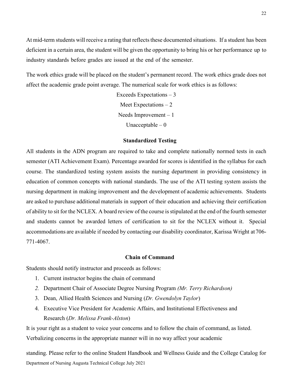At mid-term students will receive a rating that reflects these documented situations. If a student has been deficient in a certain area, the student will be given the opportunity to bring his or her performance up to industry standards before grades are issued at the end of the semester.

The work ethics grade will be placed on the student's permanent record. The work ethics grade does not affect the academic grade point average. The numerical scale for work ethics is as follows:

> Exceeds Expectations – 3 Meet Expectations – 2 Needs Improvement – 1 Unacceptable  $-0$

#### **Standardized Testing**

<span id="page-22-0"></span>All students in the ADN program are required to take and complete nationally normed tests in each semester (ATI Achievement Exam). Percentage awarded for scores is identified in the syllabus for each course. The standardized testing system assists the nursing department in providing consistency in education of common concepts with national standards. The use of the ATI testing system assists the nursing department in making improvement and the development of academic achievements. Students are asked to purchase additional materials in support of their education and achieving their certification of ability to sit for the NCLEX. A board review of the course isstipulated at the end of the fourth semester and students cannot be awarded letters of certification to sit for the NCLEX without it. Special accommodations are available if needed by contacting our disability coordinator, Karissa Wright at 706- 771-4067.

#### **Chain of Command**

<span id="page-22-1"></span>Students should notify instructor and proceeds as follows:

- 1. Current instructor begins the chain of command
- *2.* Department Chair of Associate Degree Nursing Program *(Mr. Terry Richardson)*
- 3. Dean, Allied Health Sciences and Nursing (*Dr. Gwendolyn Taylor*)
- 4. Executive Vice President for Academic Affairs, and Institutional Effectiveness and Research (*Dr. Melissa Frank-Alston*)

It is your right as a student to voice your concerns and to follow the chain of command, as listed. Verbalizing concerns in the appropriate manner will in no way affect your academic

standing. Please refer to the online Student Handbook and Wellness Guide and the College Catalog for Department of Nursing Augusta Technical College July 2021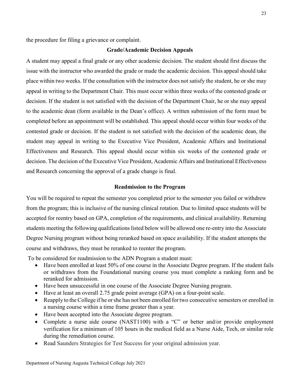<span id="page-23-0"></span>the procedure for filing a grievance or complaint.

#### **Grade/Academic Decision Appeals**

A student may appeal a final grade or any other academic decision. The student should first discuss the issue with the instructor who awarded the grade or made the academic decision. This appeal should take place within two weeks. If the consultation with the instructor does not satisfy the student, he or she may appeal in writing to the Department Chair. This must occur within three weeks of the contested grade or decision. If the student is not satisfied with the decision of the Department Chair, he or she may appeal to the academic dean (form available in the Dean's office). A written submission of the form must be completed before an appointment will be established. This appeal should occur within four weeks of the contested grade or decision. If the student is not satisfied with the decision of the academic dean, the student may appeal in writing to the Executive Vice President, Academic Affairs and Institutional Effectiveness and Research. This appeal should occur within six weeks of the contested grade or decision. The decision of the Executive Vice President, Academic Affairs and Institutional Effectiveness and Research concerning the approval of a grade change is final.

#### **Readmission to the Program**

<span id="page-23-1"></span>You will be required to repeat the semester you completed prior to the semester you failed or withdrew from the program; this is inclusive of the nursing clinical rotation. Due to limited space students will be accepted for reentry based on GPA, completion of the requirements, and clinical availability. Returning students meeting the following qualifications listed below will be allowed one re-entry into the Associate Degree Nursing program without being reranked based on space availability. If the student attempts the course and withdraws, they must be reranked to reenter the program.

To be considered for readmission to the ADN Program a student must:

- Have been enrolled at least 50% of one course in the Associate Degree program. If the student fails or withdraws from the Foundational nursing course you must complete a ranking form and be reranked for admission.
- Have been unsuccessful in one course of the Associate Degree Nursing program.
- Have at least an overall 2.75 grade point average (GPA) on a four-point scale.
- Reapply to the College if he or she has not been enrolled for two consecutive semesters or enrolled in a nursing course within a time frame greater than a year.
- Have been accepted into the Associate degree program.
- Complete a nurse aide course (NAST1100) with a "C" or better and/or provide employment verification for a minimum of 105 hours in the medical field as a Nurse Aide, Tech, or similar role during the remediation course.
- Read Saunders Strategies for Test Success for your original admission year.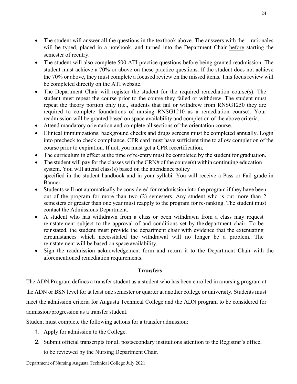- The student will answer all the questions in the textbook above. The answers with the rationales will be typed, placed in a notebook, and turned into the Department Chair before starting the semester of reentry.
- The student will also complete 500 ATI practice questions before being granted readmission. The student must achieve a 70% or above on these practice questions. If the student does not achieve the 70% or above, they must complete a focused review on the missed items. This focus review will be completed directly on the ATI website.
- The Department Chair will register the student for the required remediation course(s). The student must repeat the course prior to the course they failed or withdrew. The student must repeat the theory portion only (i.e., students that fail or withdrew from RNSG1250 they are required to complete foundations of nursing RNSG1210 as a remediation course). Your readmission will be granted based on space availability and completion of the above criteria.
- Attend mandatory orientation and complete all sections of the orientation course.
- Clinical immunizations, background checks and drugs screens must be completed annually. Login into precheck to check compliance. CPR card must have sufficient time to allow completion of the course prior to expiration. If not, you must get a CPR recertification.
- The curriculum in effect at the time of re-entry must be completed by the student for graduation.
- The student will pay for the classes with the CRN# of the course(s) within continuing education system. You will attend class(s) based on the attendance policy specified in the student handbook and in your syllabi. You will receive a Pass or Fail grade in Banner.
- Students will not automatically be considered for readmission into the program if they have been out of the program for more than two (2) semesters. Any student who is out more than 2 semesters or greater than one year must reapply to the program for re-ranking. The student must contact the Admissions Department.
- A student who has withdrawn from a class or been withdrawn from a class may request reinstatement subject to the approval of and conditions set by the department chair. To be reinstated, the student must provide the department chair with evidence that the extenuating circumstances which necessitated the withdrawal will no longer be a problem. The reinstatement will be based on space availability.
- Sign the readmission acknowledgement form and return it to the Department Chair with the aforementioned remediation requirements.

### **Transfers**

<span id="page-24-0"></span>The ADN Program defines a transfer student as a student who has been enrolled in anursing program at the ADN or BSN level for at least one semester or quarter at another college or university. Students must meet the admission criteria for Augusta Technical College and the ADN program to be considered for admission/progression as a transfer student.

Student must complete the following actions for a transfer admission:

- 1. Apply for admission to the College.
- 2. Submit official transcripts for all postsecondary institutions attention to the Registrar's office, to be reviewed by the Nursing Department Chair.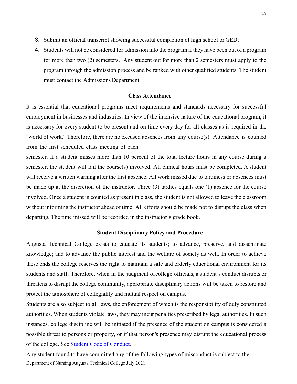- 3. Submit an official transcript showing successful completion of high school or GED;
- 4. Students will not be considered for admission into the program if they have been out of a program for more than two (2) semesters. Any student out for more than 2 semesters must apply to the program through the admission process and be ranked with other qualified students. The student must contact the Admissions Department.

### **Class Attendance**

<span id="page-25-0"></span>It is essential that educational programs meet requirements and standards necessary for successful employment in businesses and industries. In view of the intensive nature of the educational program, it is necessary for every student to be present and on time every day for all classes as is required in the "world of work." Therefore, there are no excused absences from any course(s). Attendance is counted from the first scheduled class meeting of each

semester. If a student misses more than 10 percent of the total lecture hours in any course during a semester, the student will fail the course(s) involved. All clinical hours must be completed. A student will receive a written warning after the first absence. All work missed due to tardiness or absences must be made up at the discretion of the instructor. Three (3) tardies equals one (1) absence for the course involved. Once a student is counted as present in class, the student is not allowed to leave the classroom without informing the instructor ahead of time. All efforts should be made not to disrupt the class when departing. The time missed will be recorded in the instructor's grade book.

### **Student Disciplinary Policy and Procedure**

<span id="page-25-1"></span>Augusta Technical College exists to educate its students; to advance, preserve, and disseminate knowledge; and to advance the public interest and the welfare of society as well. In order to achieve these ends the college reserves the right to maintain a safe and orderly educational environment for its students and staff. Therefore, when in the judgment ofcollege officials, a student's conduct disrupts or threatens to disrupt the college community, appropriate disciplinary actions will be taken to restore and protect the atmosphere of collegiality and mutual respect on campus.

Students are also subject to all laws, the enforcement of which is the responsibility of duly constituted authorities. When students violate laws, they may incur penalties prescribed by legal authorities. In such instances, college discipline will be initiated if the presence of the student on campus is considered a possible threat to persons or property, or if that person's presence may disrupt the educational process of the college. See [Student Code of Conduct.](http://augustatech.smartcatalogiq.com/2021/Student-Handbook-and-Wellness-Guide/Student-Code-of-Conduct)

Any student found to have committed any of the following types of misconduct is subject to the Department of Nursing Augusta Technical College July 2021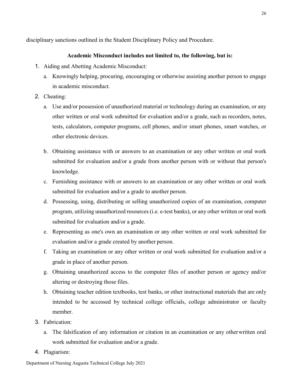<span id="page-26-0"></span>disciplinary sanctions outlined in the Student Disciplinary Policy and Procedure.

### **Academic Misconduct includes not limited to, the following, but is:**

- 1. Aiding and Abetting Academic Misconduct:
	- a. Knowingly helping, procuring, encouraging or otherwise assisting another person to engage in academic misconduct.
- 2. Cheating:
	- a. Use and/or possession of unauthorized material or technology during an examination, or any other written or oral work submitted for evaluation and/or a grade, such as recorders, notes, tests, calculators, computer programs, cell phones, and/or smart phones, smart watches, or other electronic devices.
	- b. Obtaining assistance with or answers to an examination or any other written or oral work submitted for evaluation and/or a grade from another person with or without that person's knowledge.
	- c. Furnishing assistance with or answers to an examination or any other written or oral work submitted for evaluation and/or a grade to another person.
	- d. Possessing, using, distributing or selling unauthorized copies of an examination, computer program, utilizing unauthorized resources (i.e. e-test banks), or any other written or oral work submitted for evaluation and/or a grade.
	- e. Representing as one's own an examination or any other written or oral work submitted for evaluation and/or a grade created by another person.
	- f. Taking an examination or any other written or oral work submitted for evaluation and/or a grade in place of another person.
	- g. Obtaining unauthorized access to the computer files of another person or agency and/or altering or destroying those files.
	- h. Obtaining teacher edition textbooks, test banks, or other instructional materials that are only intended to be accessed by technical college officials, college administrator or faculty member.
- 3. Fabrication:
	- a. The falsification of any information or citation in an examination or any otherwritten oral work submitted for evaluation and/or a grade.
- 4. Plagiarism: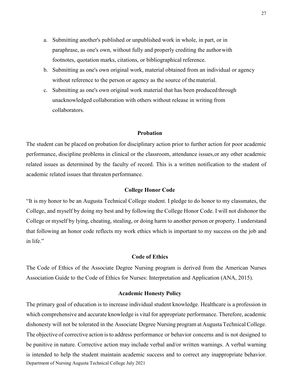- a. Submitting another's published or unpublished work in whole, in part, or in paraphrase, as one's own, without fully and properly crediting the author with footnotes, quotation marks, citations, or bibliographical reference.
- b. Submitting as one's own original work, material obtained from an individual or agency without reference to the person or agency as the source of the material.
- c. Submitting as one's own original work material that has been produced through unacknowledged collaboration with others without release in writing from collaborators.

### **Probation**

<span id="page-27-0"></span>The student can be placed on probation for disciplinary action prior to further action for poor academic performance, discipline problems in clinical or the classroom, attendance issues,or any other academic related issues as determined by the faculty of record. This is a written notification to the student of academic related issues that threaten performance.

### **College Honor Code**

<span id="page-27-1"></span>"It is my honor to be an Augusta Technical College student. I pledge to do honor to my classmates, the College, and myself by doing my best and by following the College Honor Code. I will not dishonor the College or myself by lying, cheating, stealing, or doing harm to another person or property. I understand that following an honor code reflects my work ethics which is important to my success on the job and in life."

### **Code of Ethics**

<span id="page-27-2"></span>The Code of Ethics of the Associate Degree Nursing program is derived from the American Nurses Association Guide to the Code of Ethics for Nurses: Interpretation and Application (ANA, 2015).

#### **Academic Honesty Policy**

<span id="page-27-3"></span>The primary goal of education is to increase individual student knowledge. Healthcare is a profession in which comprehensive and accurate knowledge is vital for appropriate performance. Therefore, academic dishonesty will not be tolerated in the Associate Degree Nursing program at Augusta Technical College. The objective of corrective action isto address performance or behavior concerns and is not designed to be punitive in nature. Corrective action may include verbal and/or written warnings. A verbal warning is intended to help the student maintain academic success and to correct any inappropriate behavior. Department of Nursing Augusta Technical College July 2021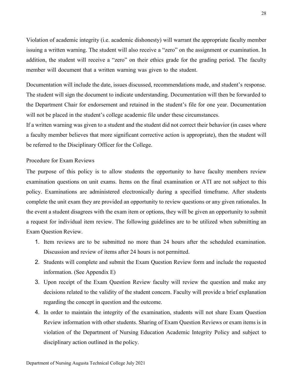Violation of academic integrity (i.e. academic dishonesty) will warrant the appropriate faculty member issuing a written warning. The student will also receive a "zero" on the assignment or examination. In addition, the student will receive a "zero" on their ethics grade for the grading period. The faculty member will document that a written warning was given to the student.

Documentation will include the date, issues discussed, recommendations made, and student's response. The student will sign the document to indicate understanding. Documentation will then be forwarded to the Department Chair for endorsement and retained in the student's file for one year. Documentation will not be placed in the student's college academic file under these circumstances.

If a written warning was given to a student and the student did not correct their behavior (in cases where a faculty member believes that more significant corrective action is appropriate), then the student will be referred to the Disciplinary Officer for the College.

### <span id="page-28-0"></span>Procedure for Exam Reviews

The purpose of this policy is to allow students the opportunity to have faculty members review examination questions on unit exams. Items on the final examination or ATI are not subject to this policy. Examinations are administered electronically during a specified timeframe. After students complete the unit exam they are provided an opportunity to review questions or any given rationales. In the event a student disagrees with the exam item or options, they will be given an opportunity to submit a request for individual item review. The following guidelines are to be utilized when submitting an Exam Question Review.

- 1. Item reviews are to be submitted no more than 24 hours after the scheduled examination. Discussion and review of items after 24 hours is not permitted.
- 2. Students will complete and submit the Exam Question Review form and include the requested information. (See Appendix E)
- 3. Upon receipt of the Exam Question Review faculty will review the question and make any decisions related to the validity of the student concern. Faculty will provide a brief explanation regarding the concept in question and the outcome.
- 4. In order to maintain the integrity of the examination, students will not share Exam Question Review information with other students. Sharing of Exam Question Reviews or exam items is in violation of the Department of Nursing Education Academic Integrity Policy and subject to disciplinary action outlined in the policy.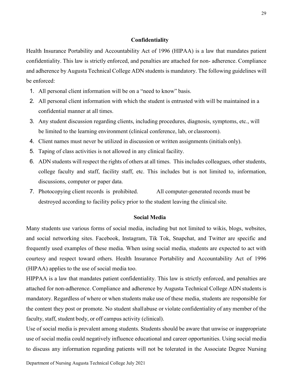### **Confidentiality**

<span id="page-29-0"></span>Health Insurance Portability and Accountability Act of 1996 (HIPAA) is a law that mandates patient confidentiality. This law is strictly enforced, and penalties are attached for non- adherence. Compliance and adherence by Augusta Technical College ADN students is mandatory. The following guidelines will be enforced:

- 1. All personal client information will be on a "need to know" basis.
- 2. All personal client information with which the student is entrusted with will be maintained in a confidential manner at all times.
- 3. Any student discussion regarding clients, including procedures, diagnosis, symptoms, etc., will be limited to the learning environment (clinical conference, lab, or classroom).
- 4. Client names must never be utilized in discussion or written assignments (initials only).
- 5. Taping of class activities is not allowed in any clinical facility.
- 6. ADN students will respect the rights of others at all times. This includes colleagues, other students, college faculty and staff, facility staff, etc. This includes but is not limited to, information, discussions, computer or paper data.
- 7. Photocopying client records is prohibited. All computer-generated records must be destroyed according to facility policy prior to the student leaving the clinical site.

### **Social Media**

<span id="page-29-1"></span>Many students use various forms of social media, including but not limited to wikis, blogs, websites, and social networking sites. Facebook, Instagram, Tik Tok, Snapchat, and Twitter are specific and frequently used examples of these media. When using social media, students are expected to act with courtesy and respect toward others. Health Insurance Portability and Accountability Act of 1996 (HIPAA) applies to the use of social media too.

HIPPAA is a law that mandates patient confidentiality. This law is strictly enforced, and penalties are attached for non-adherence. Compliance and adherence by Augusta Technical College ADN students is mandatory. Regardless of where or when students make use of these media, students are responsible for the content they post or promote. No student shall abuse or violate confidentiality of any member of the faculty, staff, student body, or off campus activity (clinical).

Use of social media is prevalent among students. Students should be aware that unwise or inappropriate use of social media could negatively influence educational and career opportunities. Using social media to discuss any information regarding patients will not be tolerated in the Associate Degree Nursing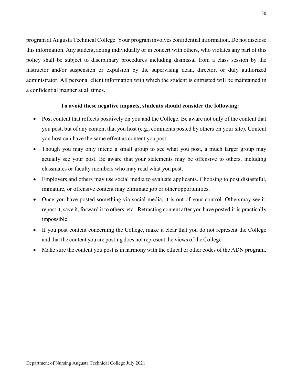program at Augusta Technical College. Your program involves confidential information. Do not disclose this information. Any student, acting individually or in concert with others, who violates any part of this policy shall be subject to disciplinary procedures including dismissal from a class session by the instructor and/or suspension or expulsion by the supervising dean, director, or duly authorized administrator. All personal client information with which the student is entrusted will be maintained in a confidential manner at all times.

### **To avoid these negative impacts, students should consider the following:**

- <span id="page-30-0"></span>• Post content that reflects positively on you and the College. Be aware not only of the content that you post, but of any content that you host (e.g., comments posted by others on your site). Content you host can have the same effect as content you post.
- Though you may only intend a small group to see what you post, a much larger group may actually see your post. Be aware that your statements may be offensive to others, including classmates or faculty members who may read what you post.
- Employers and others may use social media to evaluate applicants. Choosing to post distasteful, immature, or offensive content may eliminate job or other opportunities.
- Once you have posted something via social media, it is out of your control. Othersmay see it, repost it, save it, forward it to others, etc. Retracting content after you have posted it is practically impossible.
- If you post content concerning the College, make it clear that you do not represent the College and that the content you are posting does not represent the views of the College.
- Make sure the content you post is in harmony with the ethical or other codes of the ADN program.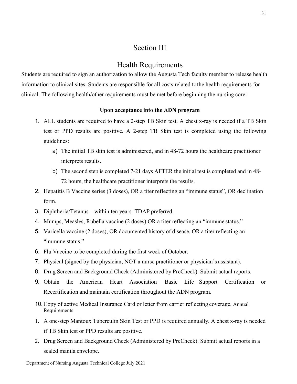### Section III

### Health Requirements

<span id="page-31-1"></span><span id="page-31-0"></span>Students are required to sign an authorization to allow the Augusta Tech faculty member to release health information to clinical sites. Students are responsible for all costs related to the health requirements for clinical. The following health/other requirements must be met before beginning the nursing core:

### **Upon acceptance into the ADN program**

- <span id="page-31-2"></span>1. ALL students are required to have a 2-step TB Skin test. A chest x-ray is needed if a TB Skin test or PPD results are positive. A 2-step TB Skin test is completed using the following guidelines:
	- a) The initial TB skin test is administered, and in 48-72 hours the healthcare practitioner interprets results.
	- b) The second step is completed 7-21 days AFTER the initial test is completed and in 48- 72 hours, the healthcare practitioner interprets the results.
- 2. Hepatitis B Vaccine series (3 doses), OR a titer reflecting an "immune status", OR declination form.
- 3. Diphtheria/Tetanus within ten years. TDAP preferred.
- 4. Mumps, Measles, Rubella vaccine (2 doses) OR a titer reflecting an "immune status."
- 5. Varicella vaccine (2 doses), OR documented history of disease, OR a titer reflecting an "immune status."
- 6. Flu Vaccine to be completed during the first week of October.
- 7. Physical (signed by the physician, NOT a nurse practitioner or physician's assistant).
- 8. Drug Screen and Background Check (Administered by PreCheck). Submit actual reports.
- 9. Obtain the American Heart Association Basic Life Support Certification or Recertification and maintain certification throughout the ADN program.
- 10.Copy of active Medical Insurance Card or letter from carrier reflecting coverage. Annual Requirements
- 1. A one-step Mantoux Tuberculin Skin Test or PPD is required annually. A chest x-ray is needed if TB Skin test or PPD results are positive.
- 2. Drug Screen and Background Check (Administered by PreCheck). Submit actual reports in a sealed manila envelope.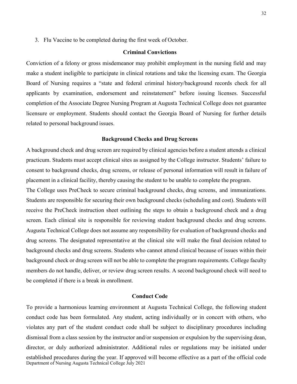<span id="page-32-0"></span>3. Flu Vaccine to be completed during the first week of October.

### **Criminal Convictions**

Conviction of a felony or gross misdemeanor may prohibit employment in the nursing field and may make a student ineligible to participate in clinical rotations and take the licensing exam. The Georgia Board of Nursing requires a "state and federal criminal history/background records check for all applicants by examination, endorsement and reinstatement" before issuing licenses. Successful completion of the Associate Degree Nursing Program at Augusta Technical College does not guarantee licensure or employment. Students should contact the Georgia Board of Nursing for further details related to personal background issues.

### **Background Checks and Drug Screens**

<span id="page-32-1"></span>A background check and drug screen are required by clinical agencies before a student attends a clinical practicum. Students must accept clinical sites as assigned by the College instructor. Students' failure to consent to background checks, drug screens, or release of personal information will result in failure of placement in a clinical facility, thereby causing the student to be unable to complete the program.

The College uses PreCheck to secure criminal background checks, drug screens, and immunizations. Students are responsible for securing their own background checks (scheduling and cost). Students will receive the PreCheck instruction sheet outlining the steps to obtain a background check and a drug screen. Each clinical site is responsible for reviewing student background checks and drug screens. Augusta Technical College does not assume any responsibility for evaluation of background checks and drug screens. The designated representative at the clinical site will make the final decision related to background checks and drug screens. Students who cannot attend clinical because of issues within their background check or drug screen will not be able to complete the program requirements. College faculty members do not handle, deliver, or review drug screen results. A second background check will need to be completed if there is a break in enrollment.

### **Conduct Code**

<span id="page-32-2"></span>To provide a harmonious learning environment at Augusta Technical College, the following student conduct code has been formulated. Any student, acting individually or in concert with others, who violates any part of the student conduct code shall be subject to disciplinary procedures including dismissal from a class session by the instructor and/or suspension or expulsion by the supervising dean, director, or duly authorized administrator. Additional rules or regulations may be initiated under established procedures during the year. If approved will become effective as a part of the official code Department of Nursing Augusta Technical College July 2021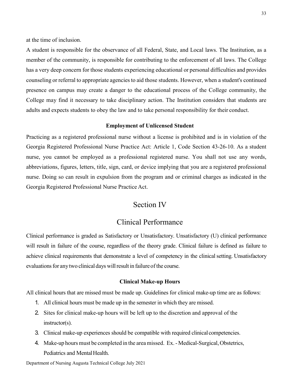at the time of inclusion.

A student is responsible for the observance of all Federal, State, and Local laws. The Institution, as a member of the community, is responsible for contributing to the enforcement of all laws. The College has a very deep concern for those students experiencing educational or personal difficulties and provides counseling or referral to appropriate agencies to aid those students. However, when a student's continued presence on campus may create a danger to the educational process of the College community, the College may find it necessary to take disciplinary action. The Institution considers that students are adults and expects students to obey the law and to take personal responsibility for their conduct.

### **Employment of Unlicensed Student**

<span id="page-33-0"></span>Practicing as a registered professional nurse without a license is prohibited and is in violation of the Georgia Registered Professional Nurse Practice Act: Article 1, Code Section 43-26-10. As a student nurse, you cannot be employed as a professional registered nurse. You shall not use any words, abbreviations, figures, letters, title, sign, card, or device implying that you are a registered professional nurse. Doing so can result in expulsion from the program and or criminal charges as indicated in the Georgia Registered Professional Nurse Practice Act.

### Section IV

### Clinical Performance

<span id="page-33-2"></span><span id="page-33-1"></span>Clinical performance is graded as Satisfactory or Unsatisfactory. Unsatisfactory (U) clinical performance will result in failure of the course, regardless of the theory grade. Clinical failure is defined as failure to achieve clinical requirements that demonstrate a level of competency in the clinical setting. Unsatisfactory evaluations for any two clinical days will result in failure of the course.

#### **Clinical Make-up Hours**

<span id="page-33-3"></span>All clinical hours that are missed must be made up. Guidelines for clinical make-up time are as follows:

- 1. All clinical hours must be made up in the semester in which they are missed.
- 2. Sites for clinical make-up hours will be left up to the discretion and approval of the instructor(s).
- 3. Clinical make-up experiences should be compatible with required clinical competencies.
- 4. Make-up hours must be completed in the area missed. Ex. Medical-Surgical, Obstetrics, Pediatrics and Mental Health.

Department of Nursing Augusta Technical College July 2021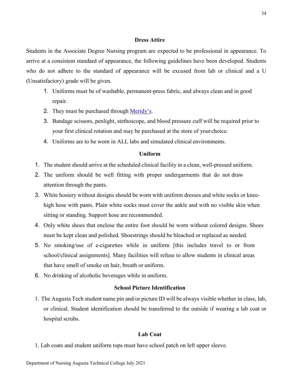### **Dress Attire**

<span id="page-34-0"></span>Students in the Associate Degree Nursing program are expected to be professional in appearance. To arrive at a consistent standard of appearance, the following guidelines have been developed. Students who do not adhere to the standard of appearance will be excused from lab or clinical and a U (Unsatisfactory) grade will be given.

- 1. Uniforms must be of washable, permanent-press fabric, and always clean and in good repair.
- 2. They must be purchased through [Meridy's.](https://meridyspro.com/)
- 3. Bandage scissors, penlight, stethoscope, and blood pressure cuff will be required prior to your first clinical rotation and may be purchased at the store of your choice.
- 4. Uniforms are to be worn in ALL labs and simulated clinical environments.

### **Uniform**

- <span id="page-34-1"></span>1. The student should arrive at the scheduled clinical facility in a clean, well-pressed uniform.
- 2. The uniform should be well fitting with proper undergarments that do not draw attention through the pants.
- 3. White hosiery without designs should be worn with uniform dresses and white socks or kneehigh hose with pants. Plain white socks must cover the ankle and with no visible skin when sitting or standing. Support hose are recommended.
- 4. Only white shoes that enclose the entire foot should be worn without colored designs. Shoes must be kept clean and polished. Shoestrings should be bleached or replaced as needed.
- 5. No smoking/use of e-cigarettes while in uniform [this includes travel to or from school/clinical assignments]. Many facilities will refuse to allow students in clinical areas that have smell of smoke on hair, breath or uniform.
- <span id="page-34-2"></span>6. No drinking of alcoholic beverages while in uniform.

### **School Picture Identification**

1. The Augusta Tech student name pin and/or picture ID will be always visible whether in class, lab, or clinical. Student identification should be transferred to the outside if wearing a lab coat or hospital scrubs.

### **Lab Coat**

<span id="page-34-3"></span>1. Lab coats and student uniform tops must have school patch on left upper sleeve.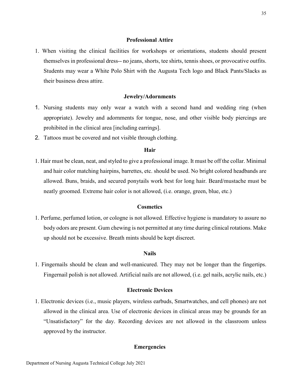### **Professional Attire**

<span id="page-35-0"></span>1. When visiting the clinical facilities for workshops or orientations, students should present themselves in professional dress-- no jeans, shorts, tee shirts, tennis shoes, or provocative outfits. Students may wear a White Polo Shirt with the Augusta Tech logo and Black Pants/Slacks as their business dress attire.

### **Jewelry/Adornments**

- <span id="page-35-1"></span>1. Nursing students may only wear a watch with a second hand and wedding ring (when appropriate). Jewelry and adornments for tongue, nose, and other visible body piercings are prohibited in the clinical area [including earrings].
- <span id="page-35-2"></span>2. Tattoos must be covered and not visible through clothing.

### **Hair**

1. Hair must be clean, neat, and styled to give a professional image. It must be off the collar. Minimal and hair color matching hairpins, barrettes, etc. should be used. No bright colored headbands are allowed. Buns, braids, and secured ponytails work best for long hair. Beard/mustache must be neatly groomed. Extreme hair color is not allowed, (i.e. orange, green, blue, etc.)

### **Cosmetics**

<span id="page-35-3"></span>1. Perfume, perfumed lotion, or cologne is not allowed. Effective hygiene is mandatory to assure no body odors are present. Gum chewing is not permitted at any time during clinical rotations. Make up should not be excessive. Breath mints should be kept discreet.

### **Nails**

<span id="page-35-4"></span>1. Fingernails should be clean and well-manicured. They may not be longer than the fingertips. Fingernail polish is not allowed. Artificial nails are not allowed, (i.e. gel nails, acrylic nails, etc.)

### **Electronic Devices**

<span id="page-35-6"></span><span id="page-35-5"></span>1. Electronic devices (i.e., music players, wireless earbuds, Smartwatches, and cell phones) are not allowed in the clinical area. Use of electronic devices in clinical areas may be grounds for an "Unsatisfactory" for the day. Recording devices are not allowed in the classroom unless approved by the instructor.

### **Emergencies**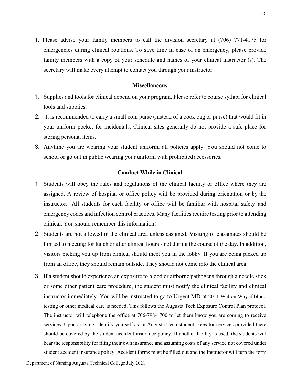1. Please advise your family members to call the division secretary at (706) 771-4175 for emergencies during clinical rotations. To save time in case of an emergency, please provide family members with a copy of your schedule and names of your clinical instructor (s). The secretary will make every attempt to contact you through your instructor.

### **Miscellaneous**

- <span id="page-36-0"></span>1. Supplies and tools for clinical depend on your program. Please refer to course syllabi for clinical tools and supplies.
- 2. It is recommended to carry a small coin purse (instead of a book bag or purse) that would fit in your uniform pocket for incidentals. Clinical sites generally do not provide a safe place for storing personal items.
- 3. Anytime you are wearing your student uniform, all policies apply. You should not come to school or go out in public wearing your uniform with prohibited accessories.

### **Conduct While in Clinical**

- <span id="page-36-1"></span>1. Students will obey the rules and regulations of the clinical facility or office where they are assigned. A review of hospital or office policy will be provided during orientation or by the instructor. All students for each facility or office will be familiar with hospital safety and emergency codes and infection control practices. Many facilities require testing prior to attending clinical. You should remember this information!
- 2. Students are not allowed in the clinical area unless assigned. Visiting of classmates should be limited to meeting for lunch or after clinical hours - not during the course of the day. In addition, visitors picking you up from clinical should meet you in the lobby. If you are being picked up from an office, they should remain outside. They should not come into the clinical area.
- 3. If a student should experience an exposure to blood or airborne pathogens through a needle stick or some other patient care procedure, the student must notify the clinical facility and clinical instructor immediately. You will be instructed to go to Urgent MD at 2011 Walton Way if blood testing or other medical care is needed. This follows the Augusta Tech Exposure Control Plan protocol. The instructor will telephone the office at 706-798-1700 to let them know you are coming to receive services. Upon arriving, identify yourself as an Augusta Tech student. Fees for services provided there should be covered by the student accident insurance policy. If another facility is used, the students will bear the responsibility for filing their own insurance and assuming costs of any service not covered under student accident insurance policy. Accident forms must be filled out and the Instructor will turn the form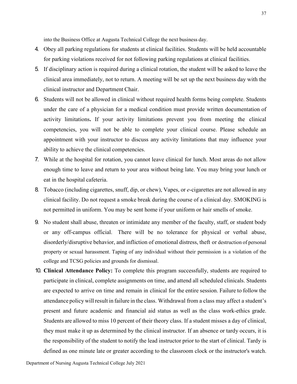into the Business Office at Augusta Technical College the next business day.

- 4. Obey all parking regulations for students at clinical facilities. Students will be held accountable for parking violations received for not following parking regulations at clinical facilities.
- 5. If disciplinary action is required during a clinical rotation, the student will be asked to leave the clinical area immediately, not to return. A meeting will be set up the next business day with the clinical instructor and Department Chair.
- 6. Students will not be allowed in clinical without required health forms being complete. Students under the care of a physician for a medical condition must provide written documentation of activity limitations**.** If your activity limitations prevent you from meeting the clinical competencies, you will not be able to complete your clinical course. Please schedule an appointment with your instructor to discuss any activity limitations that may influence your ability to achieve the clinical competencies.
- 7. While at the hospital for rotation, you cannot leave clinical for lunch. Most areas do not allow enough time to leave and return to your area without being late. You may bring your lunch or eat in the hospital cafeteria.
- 8. Tobacco (including cigarettes, snuff, dip, or chew), Vapes, or *e*-cigarettes are not allowed in any clinical facility. Do not request a smoke break during the course of a clinical day. SMOKING is not permitted in uniform. You may be sent home if your uniform or hair smells of smoke.
- 9. No student shall abuse, threaten or intimidate any member of the faculty, staff, or student body or any off-campus official. There will be no tolerance for physical or verbal abuse, disorderly/disruptive behavior, and infliction of emotional distress, theft or destruction of personal property or sexual harassment. Taping of any individual without their permission is a violation of the college and TCSG policies and grounds for dismissal.
- 10. **Clinical Attendance Policy:** To complete this program successfully, students are required to participate in clinical, complete assignments on time, and attend all scheduled clinicals. Students are expected to arrive on time and remain in clinical for the entire session. Failure to follow the attendance policy will result in failure in the class. Withdrawal from a class may affect a student's present and future academic and financial aid status as well as the class work-ethics grade. Students are allowed to miss 10 percent of their theory class. If a student misses a day of clinical, they must make it up as determined by the clinical instructor. If an absence or tardy occurs, it is the responsibility of the student to notify the lead instructor prior to the start of clinical. Tardy is defined as one minute late or greater according to the classroom clock or the instructor's watch.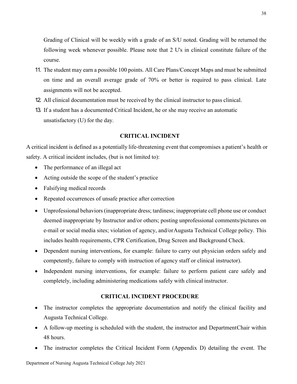Grading of Clinical will be weekly with a grade of an S/U noted. Grading will be returned the following week whenever possible. Please note that 2 U's in clinical constitute failure of the course.

- 11. The student may earn a possible 100 points. All Care Plans/Concept Maps and must be submitted on time and an overall average grade of 70% or better is required to pass clinical. Late assignments will not be accepted.
- 12. All clinical documentation must be received by the clinical instructor to pass clinical.
- 13. If a student has a documented Critical Incident, he or she may receive an automatic unsatisfactory (U) for the day.

### **CRITICAL INCIDENT**

<span id="page-38-0"></span>A critical incident is defined as a potentially life-threatening event that compromises a patient's health or safety. A critical incident includes, (but is not limited to):

- The performance of an illegal act
- Acting outside the scope of the student's practice
- Falsifying medical records
- Repeated occurrences of unsafe practice after correction
- Unprofessional behaviors (inappropriate dress; tardiness; inappropriate cell phone use or conduct deemed inappropriate by Instructor and/or others; posting unprofessional comments/pictures on e-mail or social media sites; violation of agency, and/or Augusta Technical College policy. This includes health requirements, CPR Certification, Drug Screen and Background Check.
- Dependent nursing interventions, for example: failure to carry out physician orders safely and competently, failure to comply with instruction of agency staff or clinical instructor).
- Independent nursing interventions, for example: failure to perform patient care safely and completely, including administering medications safely with clinical instructor.

### **CRITICAL INCIDENT PROCEDURE**

- <span id="page-38-1"></span>• The instructor completes the appropriate documentation and notify the clinical facility and Augusta Technical College.
- A follow-up meeting is scheduled with the student, the instructor and DepartmentChair within 48 hours.
- The instructor completes the Critical Incident Form (Appendix D) detailing the event. The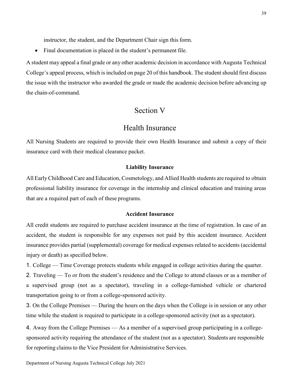instructor, the student, and the Department Chair sign this form.

• Final documentation is placed in the student's permanent file.

<span id="page-39-0"></span>A student may appeal a final grade or any other academic decision in accordance with Augusta Technical College's appeal process, which is included on page 20 of this handbook. The student should first discuss the issue with the instructor who awarded the grade or made the academic decision before advancing up the chain-of-command.

### Section V

### Health Insurance

<span id="page-39-1"></span>All Nursing Students are required to provide their own Health Insurance and submit a copy of their insurance card with their medical clearance packet.

#### **Liability Insurance**

<span id="page-39-2"></span>All Early Childhood Care and Education, Cosmetology, and Allied Health students are required to obtain professional liability insurance for coverage in the internship and clinical education and training areas that are a required part of each of these programs.

### **Accident Insurance**

<span id="page-39-3"></span>All credit students are required to purchase accident insurance at the time of registration. In case of an accident, the student is responsible for any expenses not paid by this accident insurance. Accident insurance provides partial (supplemental) coverage for medical expenses related to accidents (accidental injury or death) as specified below.

1. College — Time Coverage protects students while engaged in college activities during the quarter.

2. Traveling — To or from the student's residence and the College to attend classes or as a member of a supervised group (not as a spectator), traveling in a college-furnished vehicle or chartered transportation going to or from a college-sponsored activity.

3. On the College Premises — During the hours on the days when the College is in session or any other time while the student is required to participate in a college-sponsored activity (not as a spectator).

4. Away from the College Premises — As a member of a supervised group participating in a collegesponsored activity requiring the attendance of the student (not as a spectator). Students are responsible for reporting claims to the Vice President for Administrative Services.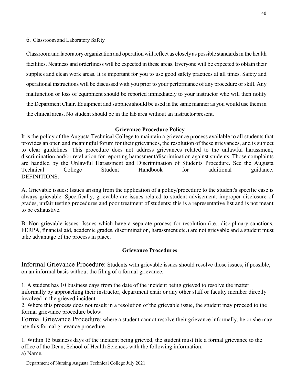### 5. Classroom and Laboratory Safety

Classroomand laboratory organization and operationwillreflect as closelyas possible standards in the health facilities. Neatness and orderliness will be expected in these areas. Everyone will be expected to obtain their supplies and clean work areas. It is important for you to use good safety practices at all times. Safety and operational instructions will be discussed with you prior to your performance of any procedure or skill. Any malfunction or loss of equipment should be reported immediately to your instructor who will then notify the Department Chair. Equipment and supplies should be used in the same manner as you would use them in the clinical areas. No student should be in the lab area without an instructorpresent.

### **Grievance Procedure Policy**

<span id="page-40-0"></span>It is the policy of the Augusta Technical College to maintain a grievance process available to all students that provides an open and meaningful forum for their grievances, the resolution of these grievances, and is subject to clear guidelines. This procedure does not address grievances related to the unlawful harassment, discrimination and/or retaliation for reporting harassment/discrimination against students. Those complaints are handled by the Unlawful Harassment and Discrimination of Students Procedure. See the Augusta Technical College Student Handbook for additional guidance. DEFINITIONS:

A. Grievable issues: Issues arising from the application of a policy/procedure to the student's specific case is always grievable. Specifically, grievable are issues related to student advisement, improper disclosure of grades, unfair testing procedures and poor treatment of students; this is a representative list and is not meant to be exhaustive.

B. Non-grievable issues: Issues which have a separate process for resolution (i.e., disciplinary sanctions, FERPA, financial aid, academic grades, discrimination, harassment etc.) are not grievable and a student must take advantage of the process in place.

### **Grievance Procedures**

<span id="page-40-1"></span>Informal Grievance Procedure: Students with grievable issues should resolve those issues, if possible, on an informal basis without the filing of a formal grievance.

1. A student has 10 business days from the date of the incident being grieved to resolve the matter informally by approaching their instructor, department chair or any other staff or faculty member directly involved in the grieved incident.

2. Where this process does not result in a resolution of the grievable issue, the student may proceed to the formal grievance procedure below.

Formal Grievance Procedure: where a student cannot resolve their grievance informally, he or she may use this formal grievance procedure.

1. Within 15 business days of the incident being grieved, the student must file a formal grievance to the office of the Dean, School of Health Sciences with the following information: a) Name,

Department of Nursing Augusta Technical College July 2021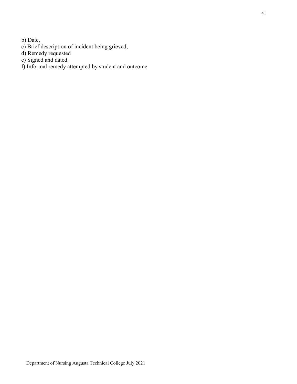b) Date,

- c) Brief description of incident being grieved,
- d) Remedy requested
- e) Signed and dated.
- f) Informal remedy attempted by student and outcome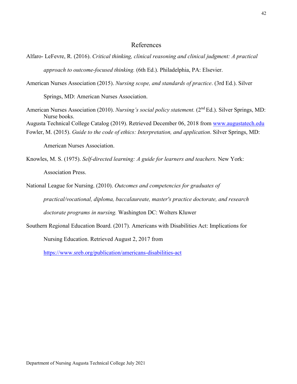### References

Alfaro- LeFevre, R. (2016). *Critical thinking, clinical reasoning and clinical judgment: A practical approach to outcome-focused thinking.* (6th Ed.). Philadelphia, PA: Elsevier.

American Nurses Association (2015). *Nursing scope, and standards of practice*. (3rd Ed.). Silver

Springs, MD: American Nurses Association.

- American Nurses Association (2010). *Nursing's social policy statement.* (2<sup>nd</sup> Ed.). Silver Springs, MD: Nurse books. Augusta Technical College Catalog (2019). Retrieved December 06, 2018 from [www.augustatech.edu](http://www.augustatech.edu/)
- Fowler, M. (2015). *Guide to the code of ethics: Interpretation, and application*. Silver Springs, MD:

American Nurses Association.

- Knowles, M. S. (1975). *Self-directed learning: A guide for learners and teachers.* New York: Association Press.
- National League for Nursing. (2010). *Outcomes and competencies for graduates of practical/vocational, diploma, baccalaureate, master's practice doctorate, and research doctorate programs in nursing.* Washington DC: Wolters Kluwer
- Southern Regional Education Board. (2017). Americans with Disabilities Act: Implications for

Nursing Education. Retrieved August 2, 2017 from

<https://www.sreb.org/publication/americans-disabilities-act>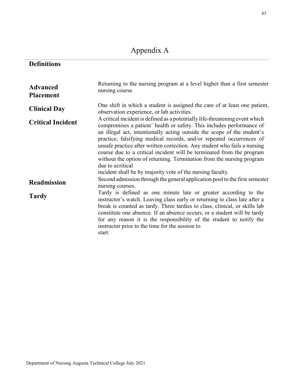# Appendix A

## <span id="page-43-0"></span>**Definitions**

| <b>Advanced</b><br><b>Placement</b> | Returning to the nursing program at a level higher than a first semester<br>nursing course.                                                                                                                                                                                                                                                                                                                                                                                                                                                                 |
|-------------------------------------|-------------------------------------------------------------------------------------------------------------------------------------------------------------------------------------------------------------------------------------------------------------------------------------------------------------------------------------------------------------------------------------------------------------------------------------------------------------------------------------------------------------------------------------------------------------|
| <b>Clinical Day</b>                 | One shift in which a student is assigned the care of at least one patient,<br>observation experience, or lab activities.                                                                                                                                                                                                                                                                                                                                                                                                                                    |
| <b>Critical Incident</b>            | A critical incident is defined as a potentially life-threatening event which<br>compromises a patient' health or safety. This includes performance of<br>an illegal act, intentionally acting outside the scope of the student's<br>practice, falsifying medical records, and/or repeated occurrences of<br>unsafe practice after written correction. Any student who fails a nursing<br>course due to a critical incident will be terminated from the program<br>without the option of returning. Termination from the nursing program<br>due to acritical |
|                                     | incident shall be by majority vote of the nursing faculty.<br>Second admission through the general application pool to the first semester                                                                                                                                                                                                                                                                                                                                                                                                                   |
| <b>Readmission</b>                  | nursing courses.                                                                                                                                                                                                                                                                                                                                                                                                                                                                                                                                            |
| <b>Tardy</b>                        | Tardy is defined as one minute late or greater according to the<br>instructor's watch. Leaving class early or returning to class late after a<br>break is counted as tardy. Three tardies to class, clinical, or skills lab<br>constitute one absence. If an absence occurs, or a student will be tardy<br>for any reason it is the responsibility of the student to notify the<br>instructor prior to the time for the session to<br>start.                                                                                                                |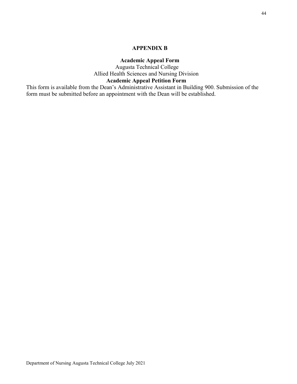### **APPENDIX B**

### **Academic Appeal Form**

Augusta Technical College Allied Health Sciences and Nursing Division **Academic Appeal Petition Form** 

<span id="page-44-1"></span><span id="page-44-0"></span>This form is available from the Dean's Administrative Assistant in Building 900. Submission of the form must be submitted before an appointment with the Dean will be established.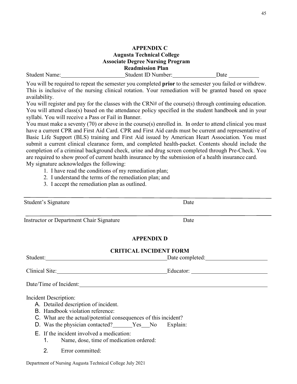# **APPENDIX C**

### **Augusta Technical College Associate Degree Nursing Program Readmission Plan**

<span id="page-45-0"></span>Student Name: Student ID Number: Date

You will be required to repeat the semester you completed **prior** to the semester you failed or withdrew. This is inclusive of the nursing clinical rotation. Your remediation will be granted based on space availability.

You will register and pay for the classes with the CRN# of the course(s) through continuing education. You will attend class(s) based on the attendance policy specified in the student handbook and in your syllabi. You will receive a Pass or Fail in Banner.

You must make a seventy (70) or above in the course(s) enrolled in. In order to attend clinical you must have a current CPR and First Aid Card. CPR and First Aid cards must be current and representative of Basic Life Support (BLS) training and First Aid issued by American Heart Association. You must submit a current clinical clearance form, and completed health-packet. Contents should include the completion of a criminal background check, urine and drug screen completed through Pre-Check. You are required to show proof of current health insurance by the submission of a health insurance card. My signature acknowledges the following:

- 1. I have read the conditions of my remediation plan;
- 2. I understand the terms of the remediation plan; and
- 3. I accept the remediation plan as outlined.

<span id="page-45-2"></span><span id="page-45-1"></span>

| Student's Signature                                                                                                                                                                                                             | Date                                     |
|---------------------------------------------------------------------------------------------------------------------------------------------------------------------------------------------------------------------------------|------------------------------------------|
| <b>Instructor or Department Chair Signature</b>                                                                                                                                                                                 | Date                                     |
|                                                                                                                                                                                                                                 | <b>APPENDIX D</b>                        |
|                                                                                                                                                                                                                                 | <b>CRITICAL INCIDENT FORM</b>            |
|                                                                                                                                                                                                                                 | Student: Date completed: Date completed: |
|                                                                                                                                                                                                                                 | Clinical Site: Educator: Educator:       |
|                                                                                                                                                                                                                                 |                                          |
| Incident Description:<br>A. Detailed description of incident.<br>B. Handbook violation reference:<br>C. What are the actual/potential consequences of this incident?<br>D. Was the physician contacted? ______Yes___No Explain: |                                          |
| E. If the incident involved a medication:<br>1. Name, dose, time of medication ordered:                                                                                                                                         |                                          |

2. Error committed:

Department of Nursing Augusta Technical College July 2021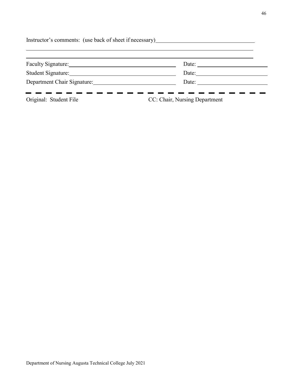| Date: |
|-------|
| Date: |
| Date: |
|       |

Original: Student File CC: Chair, Nursing Department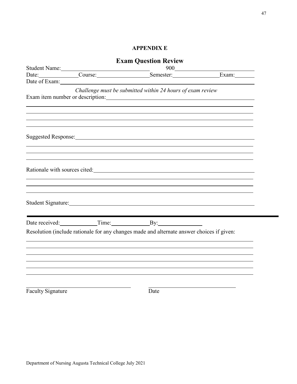### **APPENDIX E**

<span id="page-47-1"></span><span id="page-47-0"></span>

| <b>Exam Question Review</b> |  |                                                                                           |  |
|-----------------------------|--|-------------------------------------------------------------------------------------------|--|
| Student Name:<br>900        |  |                                                                                           |  |
|                             |  | Date: Course: Course: Semester: Exam:                                                     |  |
|                             |  |                                                                                           |  |
|                             |  | Challenge must be submitted within 24 hours of exam review                                |  |
|                             |  | ,我们也不会有什么。""我们的人,我们也不会有什么?""我们的人,我们也不会有什么?""我们的人,我们也不会有什么?""我们的人,我们也不会有什么?""我们的人          |  |
|                             |  | ,我们也不会有什么。""我们的人,我们也不会有什么?""我们的人,我们也不会有什么?""我们的人,我们也不会有什么?""我们的人,我们也不会有什么?""我们的人          |  |
|                             |  |                                                                                           |  |
|                             |  |                                                                                           |  |
|                             |  | Date received: Time: By:                                                                  |  |
|                             |  | Resolution (include rationale for any changes made and alternate answer choices if given: |  |
|                             |  |                                                                                           |  |
|                             |  |                                                                                           |  |
| <b>Faculty Signature</b>    |  | Date                                                                                      |  |
|                             |  |                                                                                           |  |